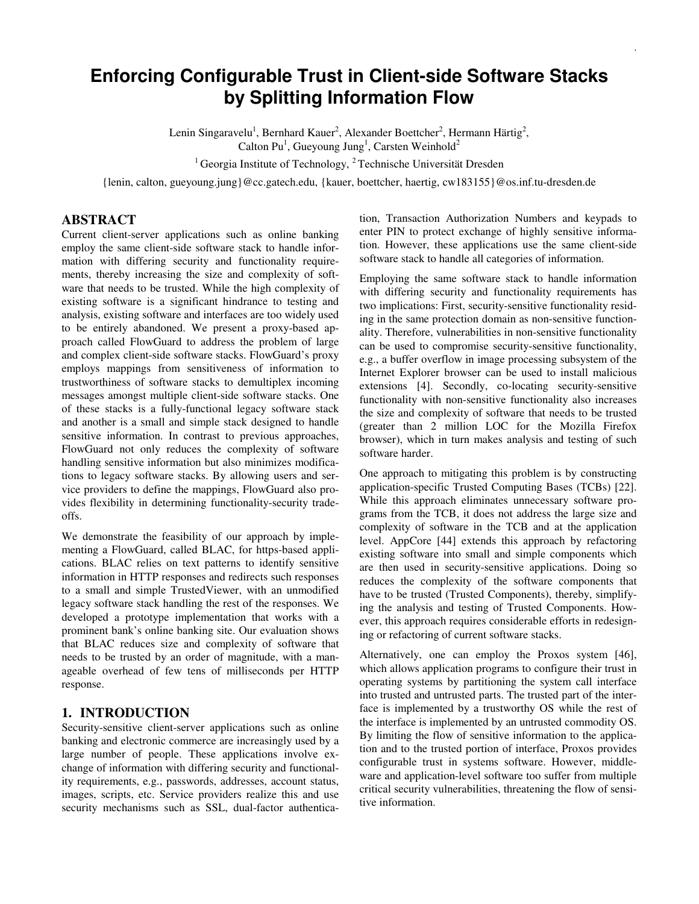# **Enforcing Configurable Trust in Client-side Software Stacks by Splitting Information Flow**

Lenin Singaravelu<sup>1</sup>, Bernhard Kauer<sup>2</sup>, Alexander Boettcher<sup>2</sup>, Hermann Härtig<sup>2</sup>, Calton Pu<sup>1</sup>, Gueyoung Jung<sup>1</sup>, Carsten Weinhold<sup>2</sup>

<sup>1</sup> Georgia Institute of Technology, <sup>2</sup> Technische Universität Dresden

{lenin, calton, gueyoung.jung}@cc.gatech.edu, {kauer, boettcher, haertig, cw183155}@os.inf.tu-dresden.de

## **ABSTRACT**

Current client-server applications such as online banking employ the same client-side software stack to handle information with differing security and functionality requirements, thereby increasing the size and complexity of software that needs to be trusted. While the high complexity of existing software is a significant hindrance to testing and analysis, existing software and interfaces are too widely used to be entirely abandoned. We present a proxy-based approach called FlowGuard to address the problem of large and complex client-side software stacks. FlowGuard's proxy employs mappings from sensitiveness of information to trustworthiness of software stacks to demultiplex incoming messages amongst multiple client-side software stacks. One of these stacks is a fully-functional legacy software stack and another is a small and simple stack designed to handle sensitive information. In contrast to previous approaches, FlowGuard not only reduces the complexity of software handling sensitive information but also minimizes modifications to legacy software stacks. By allowing users and service providers to define the mappings, FlowGuard also provides flexibility in determining functionality-security tradeoffs.

We demonstrate the feasibility of our approach by implementing a FlowGuard, called BLAC, for https-based applications. BLAC relies on text patterns to identify sensitive information in HTTP responses and redirects such responses to a small and simple TrustedViewer, with an unmodified legacy software stack handling the rest of the responses. We developed a prototype implementation that works with a prominent bank's online banking site. Our evaluation shows that BLAC reduces size and complexity of software that needs to be trusted by an order of magnitude, with a manageable overhead of few tens of milliseconds per HTTP response.

#### **1. INTRODUCTION**

Security-sensitive client-server applications such as online banking and electronic commerce are increasingly used by a large number of people. These applications involve exchange of information with differing security and functionality requirements, e.g., passwords, addresses, account status, images, scripts, etc. Service providers realize this and use security mechanisms such as SSL, dual-factor authentication, Transaction Authorization Numbers and keypads to enter PIN to protect exchange of highly sensitive information. However, these applications use the same client-side software stack to handle all categories of information.

.

Employing the same software stack to handle information with differing security and functionality requirements has two implications: First, security-sensitive functionality residing in the same protection domain as non-sensitive functionality. Therefore, vulnerabilities in non-sensitive functionality can be used to compromise security-sensitive functionality, e.g., a buffer overflow in image processing subsystem of the Internet Explorer browser can be used to install malicious extensions [4]. Secondly, co-locating security-sensitive functionality with non-sensitive functionality also increases the size and complexity of software that needs to be trusted (greater than 2 million LOC for the Mozilla Firefox browser), which in turn makes analysis and testing of such software harder.

One approach to mitigating this problem is by constructing application-specific Trusted Computing Bases (TCBs) [22]. While this approach eliminates unnecessary software programs from the TCB, it does not address the large size and complexity of software in the TCB and at the application level. AppCore [44] extends this approach by refactoring existing software into small and simple components which are then used in security-sensitive applications. Doing so reduces the complexity of the software components that have to be trusted (Trusted Components), thereby, simplifying the analysis and testing of Trusted Components. However, this approach requires considerable efforts in redesigning or refactoring of current software stacks.

Alternatively, one can employ the Proxos system [46], which allows application programs to configure their trust in operating systems by partitioning the system call interface into trusted and untrusted parts. The trusted part of the interface is implemented by a trustworthy OS while the rest of the interface is implemented by an untrusted commodity OS. By limiting the flow of sensitive information to the application and to the trusted portion of interface, Proxos provides configurable trust in systems software. However, middleware and application-level software too suffer from multiple critical security vulnerabilities, threatening the flow of sensitive information.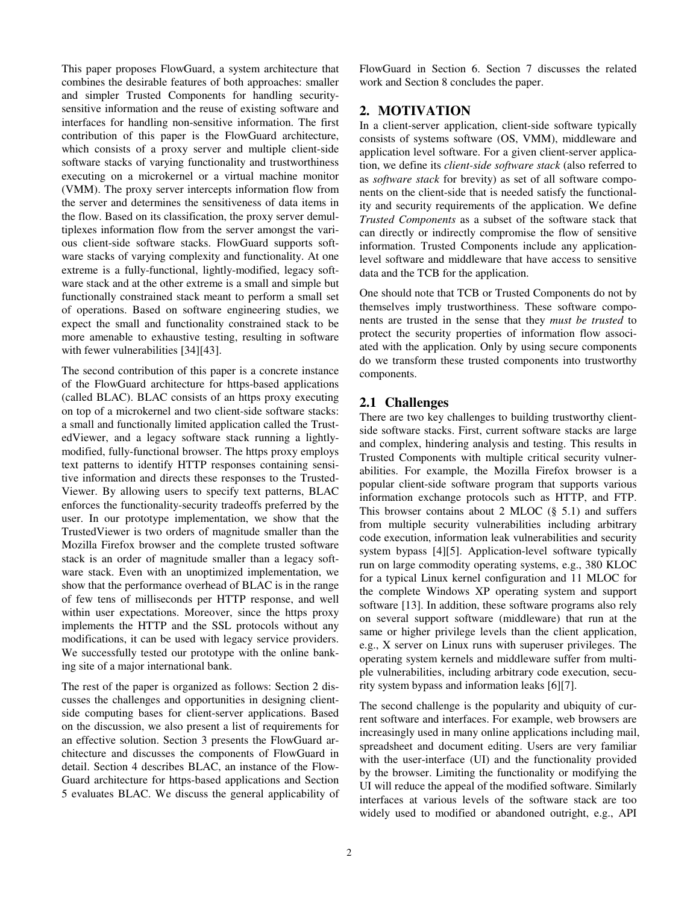This paper proposes FlowGuard, a system architecture that combines the desirable features of both approaches: smaller and simpler Trusted Components for handling securitysensitive information and the reuse of existing software and interfaces for handling non-sensitive information. The first contribution of this paper is the FlowGuard architecture, which consists of a proxy server and multiple client-side software stacks of varying functionality and trustworthiness executing on a microkernel or a virtual machine monitor (VMM). The proxy server intercepts information flow from the server and determines the sensitiveness of data items in the flow. Based on its classification, the proxy server demultiplexes information flow from the server amongst the various client-side software stacks. FlowGuard supports software stacks of varying complexity and functionality. At one extreme is a fully-functional, lightly-modified, legacy software stack and at the other extreme is a small and simple but functionally constrained stack meant to perform a small set of operations. Based on software engineering studies, we expect the small and functionality constrained stack to be more amenable to exhaustive testing, resulting in software with fewer vulnerabilities [34][43].

The second contribution of this paper is a concrete instance of the FlowGuard architecture for https-based applications (called BLAC). BLAC consists of an https proxy executing on top of a microkernel and two client-side software stacks: a small and functionally limited application called the TrustedViewer, and a legacy software stack running a lightlymodified, fully-functional browser. The https proxy employs text patterns to identify HTTP responses containing sensitive information and directs these responses to the Trusted-Viewer. By allowing users to specify text patterns, BLAC enforces the functionality-security tradeoffs preferred by the user. In our prototype implementation, we show that the TrustedViewer is two orders of magnitude smaller than the Mozilla Firefox browser and the complete trusted software stack is an order of magnitude smaller than a legacy software stack. Even with an unoptimized implementation, we show that the performance overhead of BLAC is in the range of few tens of milliseconds per HTTP response, and well within user expectations. Moreover, since the https proxy implements the HTTP and the SSL protocols without any modifications, it can be used with legacy service providers. We successfully tested our prototype with the online banking site of a major international bank.

The rest of the paper is organized as follows: Section 2 discusses the challenges and opportunities in designing clientside computing bases for client-server applications. Based on the discussion, we also present a list of requirements for an effective solution. Section 3 presents the FlowGuard architecture and discusses the components of FlowGuard in detail. Section 4 describes BLAC, an instance of the Flow-Guard architecture for https-based applications and Section 5 evaluates BLAC. We discuss the general applicability of FlowGuard in Section 6. Section 7 discusses the related work and Section 8 concludes the paper.

## **2. MOTIVATION**

In a client-server application, client-side software typically consists of systems software (OS, VMM), middleware and application level software. For a given client-server application, we define its *client-side software stack* (also referred to as *software stack* for brevity) as set of all software components on the client-side that is needed satisfy the functionality and security requirements of the application. We define *Trusted Components* as a subset of the software stack that can directly or indirectly compromise the flow of sensitive information. Trusted Components include any applicationlevel software and middleware that have access to sensitive data and the TCB for the application.

One should note that TCB or Trusted Components do not by themselves imply trustworthiness. These software components are trusted in the sense that they *must be trusted* to protect the security properties of information flow associated with the application. Only by using secure components do we transform these trusted components into trustworthy components.

## **2.1 Challenges**

There are two key challenges to building trustworthy clientside software stacks. First, current software stacks are large and complex, hindering analysis and testing. This results in Trusted Components with multiple critical security vulnerabilities. For example, the Mozilla Firefox browser is a popular client-side software program that supports various information exchange protocols such as HTTP, and FTP. This browser contains about 2 MLOC (§ 5.1) and suffers from multiple security vulnerabilities including arbitrary code execution, information leak vulnerabilities and security system bypass [4][5]. Application-level software typically run on large commodity operating systems, e.g., 380 KLOC for a typical Linux kernel configuration and 11 MLOC for the complete Windows XP operating system and support software [13]. In addition, these software programs also rely on several support software (middleware) that run at the same or higher privilege levels than the client application, e.g., X server on Linux runs with superuser privileges. The operating system kernels and middleware suffer from multiple vulnerabilities, including arbitrary code execution, security system bypass and information leaks [6][7].

The second challenge is the popularity and ubiquity of current software and interfaces. For example, web browsers are increasingly used in many online applications including mail, spreadsheet and document editing. Users are very familiar with the user-interface (UI) and the functionality provided by the browser. Limiting the functionality or modifying the UI will reduce the appeal of the modified software. Similarly interfaces at various levels of the software stack are too widely used to modified or abandoned outright, e.g., API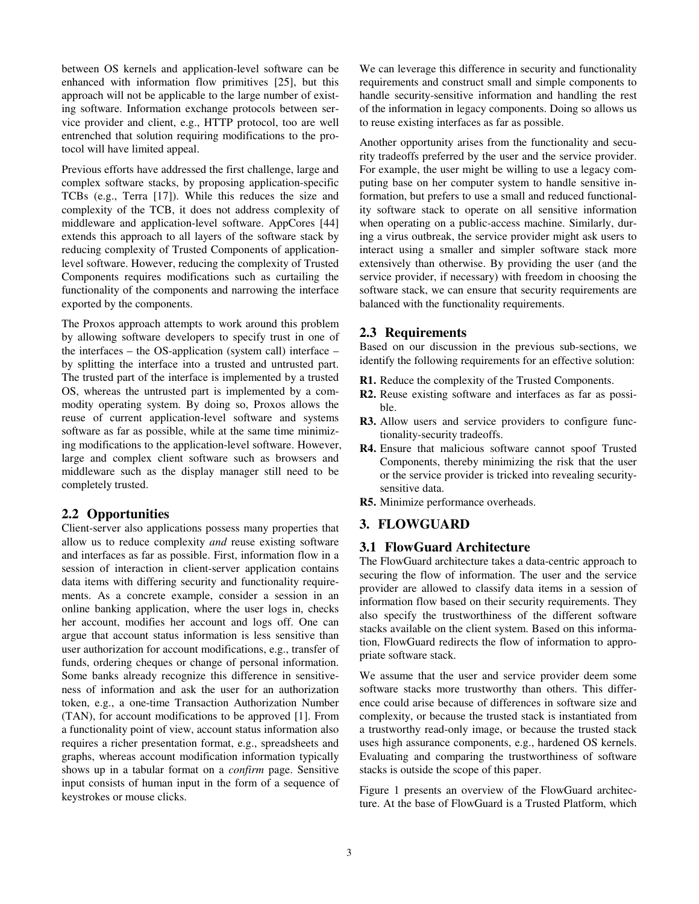between OS kernels and application-level software can be enhanced with information flow primitives [25], but this approach will not be applicable to the large number of existing software. Information exchange protocols between service provider and client, e.g., HTTP protocol, too are well entrenched that solution requiring modifications to the protocol will have limited appeal.

Previous efforts have addressed the first challenge, large and complex software stacks, by proposing application-specific TCBs (e.g., Terra [17]). While this reduces the size and complexity of the TCB, it does not address complexity of middleware and application-level software. AppCores [44] extends this approach to all layers of the software stack by reducing complexity of Trusted Components of applicationlevel software. However, reducing the complexity of Trusted Components requires modifications such as curtailing the functionality of the components and narrowing the interface exported by the components.

The Proxos approach attempts to work around this problem by allowing software developers to specify trust in one of the interfaces – the OS-application (system call) interface – by splitting the interface into a trusted and untrusted part. The trusted part of the interface is implemented by a trusted OS, whereas the untrusted part is implemented by a commodity operating system. By doing so, Proxos allows the reuse of current application-level software and systems software as far as possible, while at the same time minimizing modifications to the application-level software. However, large and complex client software such as browsers and middleware such as the display manager still need to be completely trusted.

## **2.2 Opportunities**

Client-server also applications possess many properties that allow us to reduce complexity *and* reuse existing software and interfaces as far as possible. First, information flow in a session of interaction in client-server application contains data items with differing security and functionality requirements. As a concrete example, consider a session in an online banking application, where the user logs in, checks her account, modifies her account and logs off. One can argue that account status information is less sensitive than user authorization for account modifications, e.g., transfer of funds, ordering cheques or change of personal information. Some banks already recognize this difference in sensitiveness of information and ask the user for an authorization token, e.g., a one-time Transaction Authorization Number (TAN), for account modifications to be approved [1]. From a functionality point of view, account status information also requires a richer presentation format, e.g., spreadsheets and graphs, whereas account modification information typically shows up in a tabular format on a *confirm* page. Sensitive input consists of human input in the form of a sequence of keystrokes or mouse clicks.

We can leverage this difference in security and functionality requirements and construct small and simple components to handle security-sensitive information and handling the rest of the information in legacy components. Doing so allows us to reuse existing interfaces as far as possible.

Another opportunity arises from the functionality and security tradeoffs preferred by the user and the service provider. For example, the user might be willing to use a legacy computing base on her computer system to handle sensitive information, but prefers to use a small and reduced functionality software stack to operate on all sensitive information when operating on a public-access machine. Similarly, during a virus outbreak, the service provider might ask users to interact using a smaller and simpler software stack more extensively than otherwise. By providing the user (and the service provider, if necessary) with freedom in choosing the software stack, we can ensure that security requirements are balanced with the functionality requirements.

## **2.3 Requirements**

Based on our discussion in the previous sub-sections, we identify the following requirements for an effective solution:

- **R1.** Reduce the complexity of the Trusted Components.
- **R2.** Reuse existing software and interfaces as far as possible.
- **R3.** Allow users and service providers to configure functionality-security tradeoffs.
- **R4.** Ensure that malicious software cannot spoof Trusted Components, thereby minimizing the risk that the user or the service provider is tricked into revealing securitysensitive data.
- **R5.** Minimize performance overheads.

## **3. FLOWGUARD**

#### **3.1 FlowGuard Architecture**

The FlowGuard architecture takes a data-centric approach to securing the flow of information. The user and the service provider are allowed to classify data items in a session of information flow based on their security requirements. They also specify the trustworthiness of the different software stacks available on the client system. Based on this information, FlowGuard redirects the flow of information to appropriate software stack.

We assume that the user and service provider deem some software stacks more trustworthy than others. This difference could arise because of differences in software size and complexity, or because the trusted stack is instantiated from a trustworthy read-only image, or because the trusted stack uses high assurance components, e.g., hardened OS kernels. Evaluating and comparing the trustworthiness of software stacks is outside the scope of this paper.

Figure 1 presents an overview of the FlowGuard architecture. At the base of FlowGuard is a Trusted Platform, which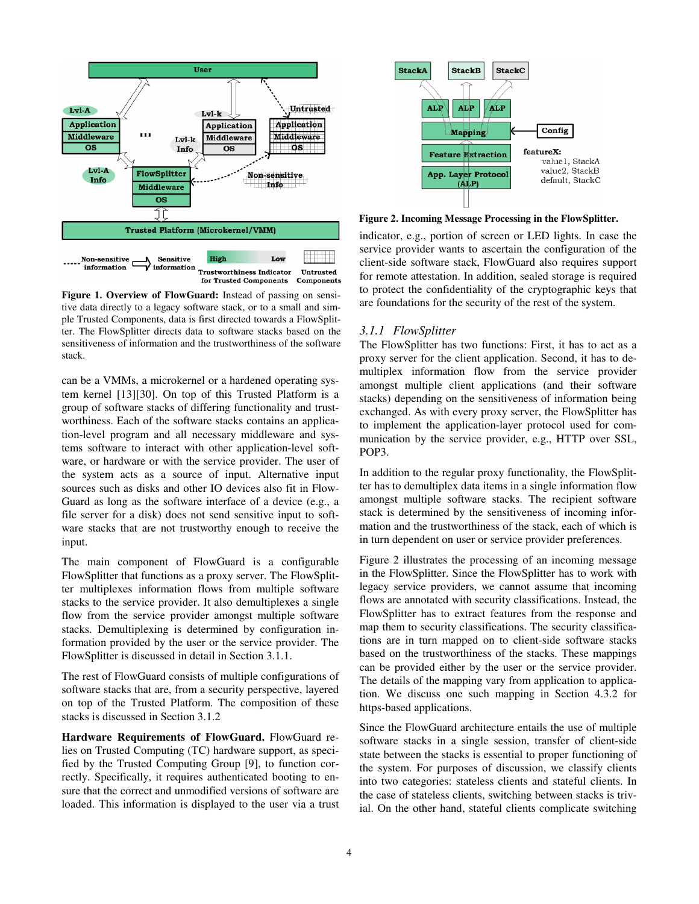

**Figure 1. Overview of FlowGuard:** Instead of passing on sensitive data directly to a legacy software stack, or to a small and simple Trusted Components, data is first directed towards a FlowSplitter. The FlowSplitter directs data to software stacks based on the sensitiveness of information and the trustworthiness of the software stack.

can be a VMMs, a microkernel or a hardened operating system kernel [13][30]. On top of this Trusted Platform is a group of software stacks of differing functionality and trustworthiness. Each of the software stacks contains an application-level program and all necessary middleware and systems software to interact with other application-level software, or hardware or with the service provider. The user of the system acts as a source of input. Alternative input sources such as disks and other IO devices also fit in Flow-Guard as long as the software interface of a device (e.g., a file server for a disk) does not send sensitive input to software stacks that are not trustworthy enough to receive the input.

The main component of FlowGuard is a configurable FlowSplitter that functions as a proxy server. The FlowSplitter multiplexes information flows from multiple software stacks to the service provider. It also demultiplexes a single flow from the service provider amongst multiple software stacks. Demultiplexing is determined by configuration information provided by the user or the service provider. The FlowSplitter is discussed in detail in Section 3.1.1.

The rest of FlowGuard consists of multiple configurations of software stacks that are, from a security perspective, layered on top of the Trusted Platform. The composition of these stacks is discussed in Section 3.1.2

**Hardware Requirements of FlowGuard.** FlowGuard relies on Trusted Computing (TC) hardware support, as specified by the Trusted Computing Group [9], to function correctly. Specifically, it requires authenticated booting to ensure that the correct and unmodified versions of software are loaded. This information is displayed to the user via a trust



**Figure 2. Incoming Message Processing in the FlowSplitter.** 

indicator, e.g., portion of screen or LED lights. In case the service provider wants to ascertain the configuration of the client-side software stack, FlowGuard also requires support for remote attestation. In addition, sealed storage is required to protect the confidentiality of the cryptographic keys that are foundations for the security of the rest of the system.

#### *3.1.1 FlowSplitter*

The FlowSplitter has two functions: First, it has to act as a proxy server for the client application. Second, it has to demultiplex information flow from the service provider amongst multiple client applications (and their software stacks) depending on the sensitiveness of information being exchanged. As with every proxy server, the FlowSplitter has to implement the application-layer protocol used for communication by the service provider, e.g., HTTP over SSL, POP3.

In addition to the regular proxy functionality, the FlowSplitter has to demultiplex data items in a single information flow amongst multiple software stacks. The recipient software stack is determined by the sensitiveness of incoming information and the trustworthiness of the stack, each of which is in turn dependent on user or service provider preferences.

Figure 2 illustrates the processing of an incoming message in the FlowSplitter. Since the FlowSplitter has to work with legacy service providers, we cannot assume that incoming flows are annotated with security classifications. Instead, the FlowSplitter has to extract features from the response and map them to security classifications. The security classifications are in turn mapped on to client-side software stacks based on the trustworthiness of the stacks. These mappings can be provided either by the user or the service provider. The details of the mapping vary from application to application. We discuss one such mapping in Section 4.3.2 for https-based applications.

Since the FlowGuard architecture entails the use of multiple software stacks in a single session, transfer of client-side state between the stacks is essential to proper functioning of the system. For purposes of discussion, we classify clients into two categories: stateless clients and stateful clients. In the case of stateless clients, switching between stacks is trivial. On the other hand, stateful clients complicate switching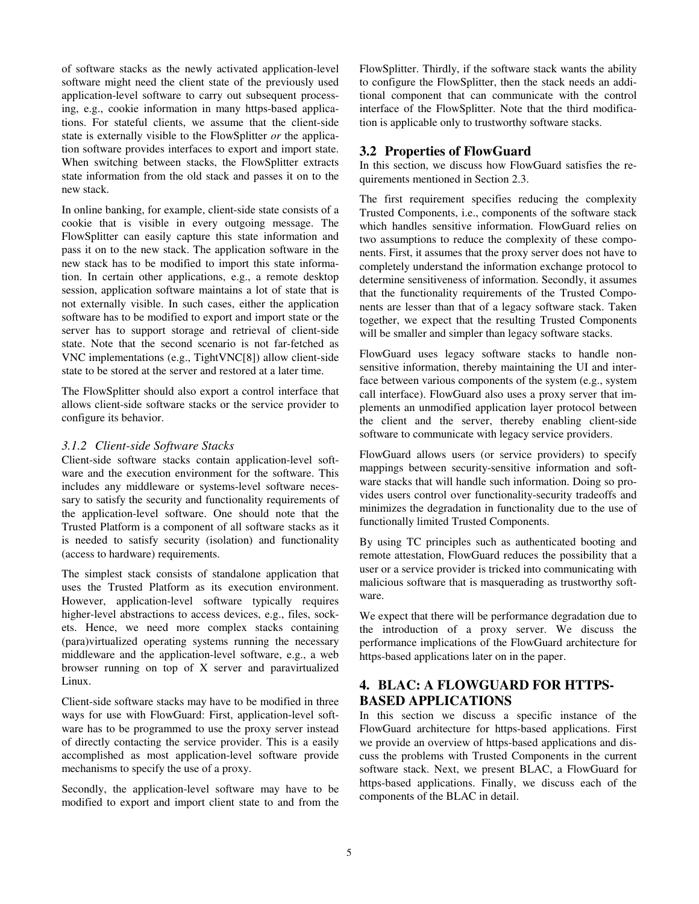of software stacks as the newly activated application-level software might need the client state of the previously used application-level software to carry out subsequent processing, e.g., cookie information in many https-based applications. For stateful clients, we assume that the client-side state is externally visible to the FlowSplitter *or* the application software provides interfaces to export and import state. When switching between stacks, the FlowSplitter extracts state information from the old stack and passes it on to the new stack.

In online banking, for example, client-side state consists of a cookie that is visible in every outgoing message. The FlowSplitter can easily capture this state information and pass it on to the new stack. The application software in the new stack has to be modified to import this state information. In certain other applications, e.g., a remote desktop session, application software maintains a lot of state that is not externally visible. In such cases, either the application software has to be modified to export and import state or the server has to support storage and retrieval of client-side state. Note that the second scenario is not far-fetched as VNC implementations (e.g., TightVNC[8]) allow client-side state to be stored at the server and restored at a later time.

The FlowSplitter should also export a control interface that allows client-side software stacks or the service provider to configure its behavior.

#### *3.1.2 Client-side Software Stacks*

Client-side software stacks contain application-level software and the execution environment for the software. This includes any middleware or systems-level software necessary to satisfy the security and functionality requirements of the application-level software. One should note that the Trusted Platform is a component of all software stacks as it is needed to satisfy security (isolation) and functionality (access to hardware) requirements.

The simplest stack consists of standalone application that uses the Trusted Platform as its execution environment. However, application-level software typically requires higher-level abstractions to access devices, e.g., files, sockets. Hence, we need more complex stacks containing (para)virtualized operating systems running the necessary middleware and the application-level software, e.g., a web browser running on top of X server and paravirtualized Linux.

Client-side software stacks may have to be modified in three ways for use with FlowGuard: First, application-level software has to be programmed to use the proxy server instead of directly contacting the service provider. This is a easily accomplished as most application-level software provide mechanisms to specify the use of a proxy.

Secondly, the application-level software may have to be modified to export and import client state to and from the FlowSplitter. Thirdly, if the software stack wants the ability to configure the FlowSplitter, then the stack needs an additional component that can communicate with the control interface of the FlowSplitter. Note that the third modification is applicable only to trustworthy software stacks.

## **3.2 Properties of FlowGuard**

In this section, we discuss how FlowGuard satisfies the requirements mentioned in Section 2.3.

The first requirement specifies reducing the complexity Trusted Components, i.e., components of the software stack which handles sensitive information. FlowGuard relies on two assumptions to reduce the complexity of these components. First, it assumes that the proxy server does not have to completely understand the information exchange protocol to determine sensitiveness of information. Secondly, it assumes that the functionality requirements of the Trusted Components are lesser than that of a legacy software stack. Taken together, we expect that the resulting Trusted Components will be smaller and simpler than legacy software stacks.

FlowGuard uses legacy software stacks to handle nonsensitive information, thereby maintaining the UI and interface between various components of the system (e.g., system call interface). FlowGuard also uses a proxy server that implements an unmodified application layer protocol between the client and the server, thereby enabling client-side software to communicate with legacy service providers.

FlowGuard allows users (or service providers) to specify mappings between security-sensitive information and software stacks that will handle such information. Doing so provides users control over functionality-security tradeoffs and minimizes the degradation in functionality due to the use of functionally limited Trusted Components.

By using TC principles such as authenticated booting and remote attestation, FlowGuard reduces the possibility that a user or a service provider is tricked into communicating with malicious software that is masquerading as trustworthy software.

We expect that there will be performance degradation due to the introduction of a proxy server. We discuss the performance implications of the FlowGuard architecture for https-based applications later on in the paper.

# **4. BLAC: A FLOWGUARD FOR HTTPS-BASED APPLICATIONS**

In this section we discuss a specific instance of the FlowGuard architecture for https-based applications. First we provide an overview of https-based applications and discuss the problems with Trusted Components in the current software stack. Next, we present BLAC, a FlowGuard for https-based applications. Finally, we discuss each of the components of the BLAC in detail.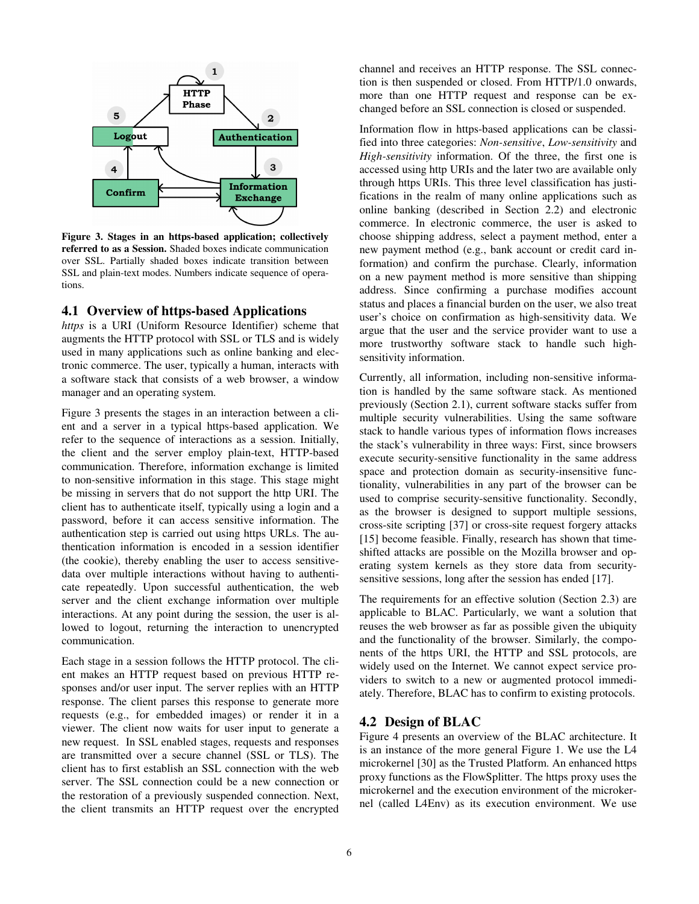

**Figure 3. Stages in an https-based application; collectively referred to as a Session.** Shaded boxes indicate communication over SSL. Partially shaded boxes indicate transition between SSL and plain-text modes. Numbers indicate sequence of operations.

#### **4.1 Overview of https-based Applications**

*https* is a URI (Uniform Resource Identifier) scheme that augments the HTTP protocol with SSL or TLS and is widely used in many applications such as online banking and electronic commerce. The user, typically a human, interacts with a software stack that consists of a web browser, a window manager and an operating system.

Figure 3 presents the stages in an interaction between a client and a server in a typical https-based application. We refer to the sequence of interactions as a session. Initially, the client and the server employ plain-text, HTTP-based communication. Therefore, information exchange is limited to non-sensitive information in this stage. This stage might be missing in servers that do not support the http URI. The client has to authenticate itself, typically using a login and a password, before it can access sensitive information. The authentication step is carried out using https URLs. The authentication information is encoded in a session identifier (the cookie), thereby enabling the user to access sensitivedata over multiple interactions without having to authenticate repeatedly. Upon successful authentication, the web server and the client exchange information over multiple interactions. At any point during the session, the user is allowed to logout, returning the interaction to unencrypted communication.

Each stage in a session follows the HTTP protocol. The client makes an HTTP request based on previous HTTP responses and/or user input. The server replies with an HTTP response. The client parses this response to generate more requests (e.g., for embedded images) or render it in a viewer. The client now waits for user input to generate a new request. In SSL enabled stages, requests and responses are transmitted over a secure channel (SSL or TLS). The client has to first establish an SSL connection with the web server. The SSL connection could be a new connection or the restoration of a previously suspended connection. Next, the client transmits an HTTP request over the encrypted channel and receives an HTTP response. The SSL connection is then suspended or closed. From HTTP/1.0 onwards, more than one HTTP request and response can be exchanged before an SSL connection is closed or suspended.

Information flow in https-based applications can be classified into three categories: *Non-sensitive*, *Low-sensitivity* and *High-sensitivity* information. Of the three, the first one is accessed using http URIs and the later two are available only through https URIs. This three level classification has justifications in the realm of many online applications such as online banking (described in Section 2.2) and electronic commerce. In electronic commerce, the user is asked to choose shipping address, select a payment method, enter a new payment method (e.g., bank account or credit card information) and confirm the purchase. Clearly, information on a new payment method is more sensitive than shipping address. Since confirming a purchase modifies account status and places a financial burden on the user, we also treat user's choice on confirmation as high-sensitivity data. We argue that the user and the service provider want to use a more trustworthy software stack to handle such highsensitivity information.

Currently, all information, including non-sensitive information is handled by the same software stack. As mentioned previously (Section 2.1), current software stacks suffer from multiple security vulnerabilities. Using the same software stack to handle various types of information flows increases the stack's vulnerability in three ways: First, since browsers execute security-sensitive functionality in the same address space and protection domain as security-insensitive functionality, vulnerabilities in any part of the browser can be used to comprise security-sensitive functionality. Secondly, as the browser is designed to support multiple sessions, cross-site scripting [37] or cross-site request forgery attacks [15] become feasible. Finally, research has shown that timeshifted attacks are possible on the Mozilla browser and operating system kernels as they store data from securitysensitive sessions, long after the session has ended [17].

The requirements for an effective solution (Section 2.3) are applicable to BLAC. Particularly, we want a solution that reuses the web browser as far as possible given the ubiquity and the functionality of the browser. Similarly, the components of the https URI, the HTTP and SSL protocols, are widely used on the Internet. We cannot expect service providers to switch to a new or augmented protocol immediately. Therefore, BLAC has to confirm to existing protocols.

#### **4.2 Design of BLAC**

Figure 4 presents an overview of the BLAC architecture. It is an instance of the more general Figure 1. We use the L4 microkernel [30] as the Trusted Platform. An enhanced https proxy functions as the FlowSplitter. The https proxy uses the microkernel and the execution environment of the microkernel (called L4Env) as its execution environment. We use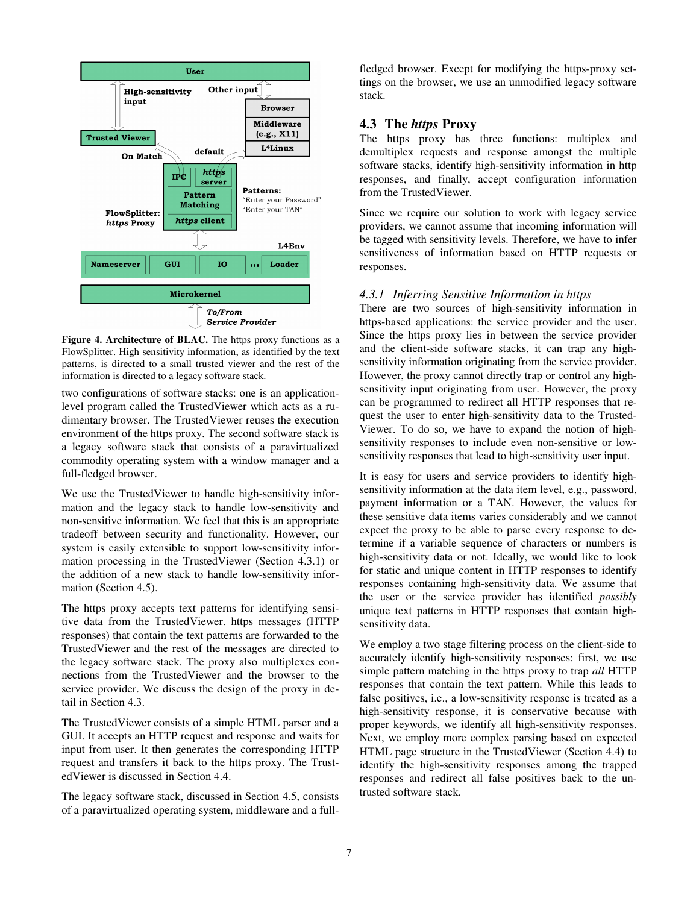

**Figure 4. Architecture of BLAC.** The https proxy functions as a FlowSplitter. High sensitivity information, as identified by the text patterns, is directed to a small trusted viewer and the rest of the information is directed to a legacy software stack.

two configurations of software stacks: one is an applicationlevel program called the TrustedViewer which acts as a rudimentary browser. The TrustedViewer reuses the execution environment of the https proxy. The second software stack is a legacy software stack that consists of a paravirtualized commodity operating system with a window manager and a full-fledged browser.

We use the TrustedViewer to handle high-sensitivity information and the legacy stack to handle low-sensitivity and non-sensitive information. We feel that this is an appropriate tradeoff between security and functionality. However, our system is easily extensible to support low-sensitivity information processing in the TrustedViewer (Section 4.3.1) or the addition of a new stack to handle low-sensitivity information (Section 4.5).

The https proxy accepts text patterns for identifying sensitive data from the TrustedViewer. https messages (HTTP responses) that contain the text patterns are forwarded to the TrustedViewer and the rest of the messages are directed to the legacy software stack. The proxy also multiplexes connections from the TrustedViewer and the browser to the service provider. We discuss the design of the proxy in detail in Section 4.3.

The TrustedViewer consists of a simple HTML parser and a GUI. It accepts an HTTP request and response and waits for input from user. It then generates the corresponding HTTP request and transfers it back to the https proxy. The TrustedViewer is discussed in Section 4.4.

The legacy software stack, discussed in Section 4.5, consists of a paravirtualized operating system, middleware and a fullfledged browser. Except for modifying the https-proxy settings on the browser, we use an unmodified legacy software stack.

#### **4.3 The** *https* **Proxy**

The https proxy has three functions: multiplex and demultiplex requests and response amongst the multiple software stacks, identify high-sensitivity information in http responses, and finally, accept configuration information from the TrustedViewer.

Since we require our solution to work with legacy service providers, we cannot assume that incoming information will be tagged with sensitivity levels. Therefore, we have to infer sensitiveness of information based on HTTP requests or responses.

#### *4.3.1 Inferring Sensitive Information in https*

There are two sources of high-sensitivity information in https-based applications: the service provider and the user. Since the https proxy lies in between the service provider and the client-side software stacks, it can trap any highsensitivity information originating from the service provider. However, the proxy cannot directly trap or control any highsensitivity input originating from user. However, the proxy can be programmed to redirect all HTTP responses that request the user to enter high-sensitivity data to the Trusted-Viewer. To do so, we have to expand the notion of highsensitivity responses to include even non-sensitive or lowsensitivity responses that lead to high-sensitivity user input.

It is easy for users and service providers to identify highsensitivity information at the data item level, e.g., password, payment information or a TAN. However, the values for these sensitive data items varies considerably and we cannot expect the proxy to be able to parse every response to determine if a variable sequence of characters or numbers is high-sensitivity data or not. Ideally, we would like to look for static and unique content in HTTP responses to identify responses containing high-sensitivity data. We assume that the user or the service provider has identified *possibly* unique text patterns in HTTP responses that contain highsensitivity data.

We employ a two stage filtering process on the client-side to accurately identify high-sensitivity responses: first, we use simple pattern matching in the https proxy to trap *all* HTTP responses that contain the text pattern. While this leads to false positives, i.e., a low-sensitivity response is treated as a high-sensitivity response, it is conservative because with proper keywords, we identify all high-sensitivity responses. Next, we employ more complex parsing based on expected HTML page structure in the TrustedViewer (Section 4.4) to identify the high-sensitivity responses among the trapped responses and redirect all false positives back to the untrusted software stack.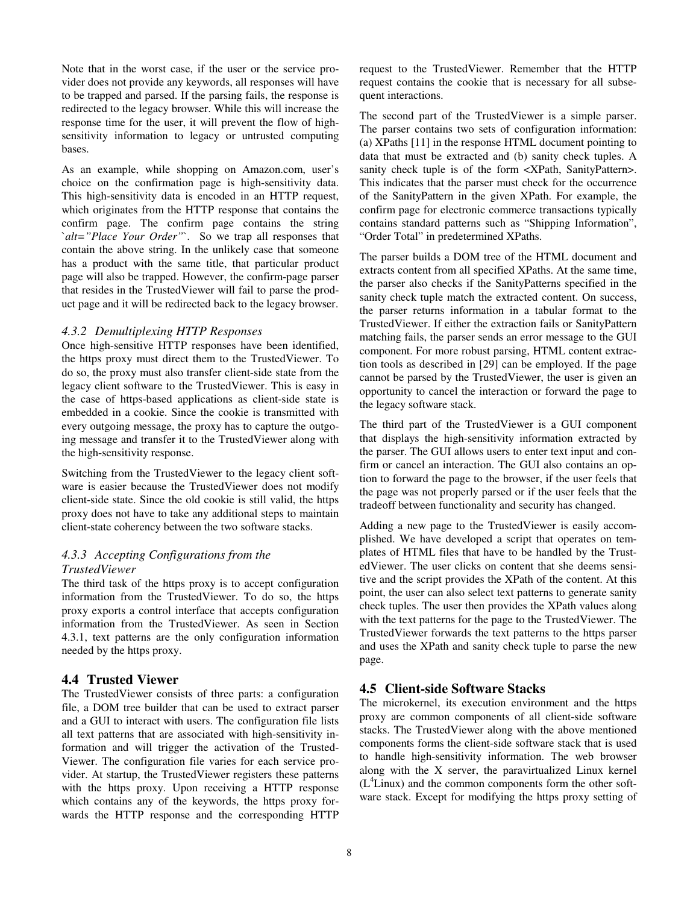Note that in the worst case, if the user or the service provider does not provide any keywords, all responses will have to be trapped and parsed. If the parsing fails, the response is redirected to the legacy browser. While this will increase the response time for the user, it will prevent the flow of highsensitivity information to legacy or untrusted computing bases.

As an example, while shopping on Amazon.com, user's choice on the confirmation page is high-sensitivity data. This high-sensitivity data is encoded in an HTTP request, which originates from the HTTP response that contains the confirm page. The confirm page contains the string `*alt="Place Your Order"*`. So we trap all responses that contain the above string. In the unlikely case that someone has a product with the same title, that particular product page will also be trapped. However, the confirm-page parser that resides in the TrustedViewer will fail to parse the product page and it will be redirected back to the legacy browser.

#### *4.3.2 Demultiplexing HTTP Responses*

Once high-sensitive HTTP responses have been identified, the https proxy must direct them to the TrustedViewer. To do so, the proxy must also transfer client-side state from the legacy client software to the TrustedViewer. This is easy in the case of https-based applications as client-side state is embedded in a cookie. Since the cookie is transmitted with every outgoing message, the proxy has to capture the outgoing message and transfer it to the TrustedViewer along with the high-sensitivity response.

Switching from the TrustedViewer to the legacy client software is easier because the TrustedViewer does not modify client-side state. Since the old cookie is still valid, the https proxy does not have to take any additional steps to maintain client-state coherency between the two software stacks.

#### *4.3.3 Accepting Configurations from the TrustedViewer*

The third task of the https proxy is to accept configuration information from the TrustedViewer. To do so, the https proxy exports a control interface that accepts configuration information from the TrustedViewer. As seen in Section 4.3.1, text patterns are the only configuration information needed by the https proxy.

## **4.4 Trusted Viewer**

The TrustedViewer consists of three parts: a configuration file, a DOM tree builder that can be used to extract parser and a GUI to interact with users. The configuration file lists all text patterns that are associated with high-sensitivity information and will trigger the activation of the Trusted-Viewer. The configuration file varies for each service provider. At startup, the TrustedViewer registers these patterns with the https proxy. Upon receiving a HTTP response which contains any of the keywords, the https proxy forwards the HTTP response and the corresponding HTTP request to the TrustedViewer. Remember that the HTTP request contains the cookie that is necessary for all subsequent interactions.

The second part of the TrustedViewer is a simple parser. The parser contains two sets of configuration information: (a) XPaths [11] in the response HTML document pointing to data that must be extracted and (b) sanity check tuples. A sanity check tuple is of the form <XPath, SanityPattern>. This indicates that the parser must check for the occurrence of the SanityPattern in the given XPath. For example, the confirm page for electronic commerce transactions typically contains standard patterns such as "Shipping Information", "Order Total" in predetermined XPaths.

The parser builds a DOM tree of the HTML document and extracts content from all specified XPaths. At the same time, the parser also checks if the SanityPatterns specified in the sanity check tuple match the extracted content. On success, the parser returns information in a tabular format to the TrustedViewer. If either the extraction fails or SanityPattern matching fails, the parser sends an error message to the GUI component. For more robust parsing, HTML content extraction tools as described in [29] can be employed. If the page cannot be parsed by the TrustedViewer, the user is given an opportunity to cancel the interaction or forward the page to the legacy software stack.

The third part of the TrustedViewer is a GUI component that displays the high-sensitivity information extracted by the parser. The GUI allows users to enter text input and confirm or cancel an interaction. The GUI also contains an option to forward the page to the browser, if the user feels that the page was not properly parsed or if the user feels that the tradeoff between functionality and security has changed.

Adding a new page to the TrustedViewer is easily accomplished. We have developed a script that operates on templates of HTML files that have to be handled by the TrustedViewer. The user clicks on content that she deems sensitive and the script provides the XPath of the content. At this point, the user can also select text patterns to generate sanity check tuples. The user then provides the XPath values along with the text patterns for the page to the TrustedViewer. The TrustedViewer forwards the text patterns to the https parser and uses the XPath and sanity check tuple to parse the new page.

## **4.5 Client-side Software Stacks**

The microkernel, its execution environment and the https proxy are common components of all client-side software stacks. The TrustedViewer along with the above mentioned components forms the client-side software stack that is used to handle high-sensitivity information. The web browser along with the X server, the paravirtualized Linux kernel  $(L<sup>4</sup>Linux)$  and the common components form the other software stack. Except for modifying the https proxy setting of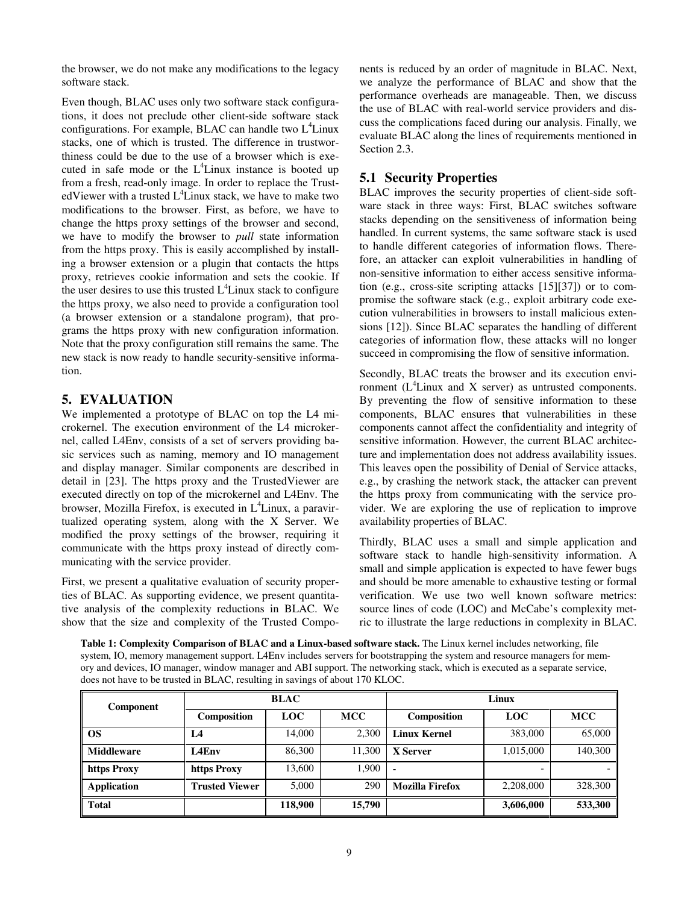the browser, we do not make any modifications to the legacy software stack.

Even though, BLAC uses only two software stack configurations, it does not preclude other client-side software stack configurations. For example, BLAC can handle two  $L^4$ Linux stacks, one of which is trusted. The difference in trustworthiness could be due to the use of a browser which is executed in safe mode or the  $L^4$ Linux instance is booted up from a fresh, read-only image. In order to replace the TrustedViewer with a trusted  $L^4$ Linux stack, we have to make two modifications to the browser. First, as before, we have to change the https proxy settings of the browser and second, we have to modify the browser to *pull* state information from the https proxy. This is easily accomplished by installing a browser extension or a plugin that contacts the https proxy, retrieves cookie information and sets the cookie. If the user desires to use this trusted  $L<sup>4</sup>$  Linux stack to configure the https proxy, we also need to provide a configuration tool (a browser extension or a standalone program), that programs the https proxy with new configuration information. Note that the proxy configuration still remains the same. The new stack is now ready to handle security-sensitive information.

## **5. EVALUATION**

We implemented a prototype of BLAC on top the L4 microkernel. The execution environment of the L4 microkernel, called L4Env, consists of a set of servers providing basic services such as naming, memory and IO management and display manager. Similar components are described in detail in [23]. The https proxy and the TrustedViewer are executed directly on top of the microkernel and L4Env. The browser, Mozilla Firefox, is executed in  $L^4$ Linux, a paravirtualized operating system, along with the X Server. We modified the proxy settings of the browser, requiring it communicate with the https proxy instead of directly communicating with the service provider.

First, we present a qualitative evaluation of security properties of BLAC. As supporting evidence, we present quantitative analysis of the complexity reductions in BLAC. We show that the size and complexity of the Trusted Components is reduced by an order of magnitude in BLAC. Next, we analyze the performance of BLAC and show that the performance overheads are manageable. Then, we discuss the use of BLAC with real-world service providers and discuss the complications faced during our analysis. Finally, we evaluate BLAC along the lines of requirements mentioned in Section 2.3.

# **5.1 Security Properties**

BLAC improves the security properties of client-side software stack in three ways: First, BLAC switches software stacks depending on the sensitiveness of information being handled. In current systems, the same software stack is used to handle different categories of information flows. Therefore, an attacker can exploit vulnerabilities in handling of non-sensitive information to either access sensitive information (e.g., cross-site scripting attacks [15][37]) or to compromise the software stack (e.g., exploit arbitrary code execution vulnerabilities in browsers to install malicious extensions [12]). Since BLAC separates the handling of different categories of information flow, these attacks will no longer succeed in compromising the flow of sensitive information.

Secondly, BLAC treats the browser and its execution environment  $(L<sup>4</sup>Linux and X server)$  as untrusted components. By preventing the flow of sensitive information to these components, BLAC ensures that vulnerabilities in these components cannot affect the confidentiality and integrity of sensitive information. However, the current BLAC architecture and implementation does not address availability issues. This leaves open the possibility of Denial of Service attacks, e.g., by crashing the network stack, the attacker can prevent the https proxy from communicating with the service provider. We are exploring the use of replication to improve availability properties of BLAC.

Thirdly, BLAC uses a small and simple application and software stack to handle high-sensitivity information. A small and simple application is expected to have fewer bugs and should be more amenable to exhaustive testing or formal verification. We use two well known software metrics: source lines of code (LOC) and McCabe's complexity metric to illustrate the large reductions in complexity in BLAC.

**Table 1: Complexity Comparison of BLAC and a Linux-based software stack.** The Linux kernel includes networking, file system, IO, memory management support. L4Env includes servers for bootstrapping the system and resource managers for memory and devices, IO manager, window manager and ABI support. The networking stack, which is executed as a separate service, does not have to be trusted in BLAC, resulting in savings of about 170 KLOC.

| <b>Component</b> | <b>BLAC</b>           |            |            | Linux                  |            |            |
|------------------|-----------------------|------------|------------|------------------------|------------|------------|
|                  | Composition           | <b>LOC</b> | <b>MCC</b> | Composition            | <b>LOC</b> | <b>MCC</b> |
| l OS             | L4                    | 14,000     | 2,300      | <b>Linux Kernel</b>    | 383,000    | 65,000     |
| Middleware       | L4Env                 | 86,300     | 11,300     | X Server               | 1,015,000  | 140,300    |
| https Proxy      | https Proxy           | 13.600     | 1.900      | $\blacksquare$         |            |            |
| Application      | <b>Trusted Viewer</b> | 5.000      | 290        | <b>Mozilla Firefox</b> | 2.208,000  | 328,300    |
| Total            |                       | 118,900    | 15,790     |                        | 3,606,000  | 533,300    |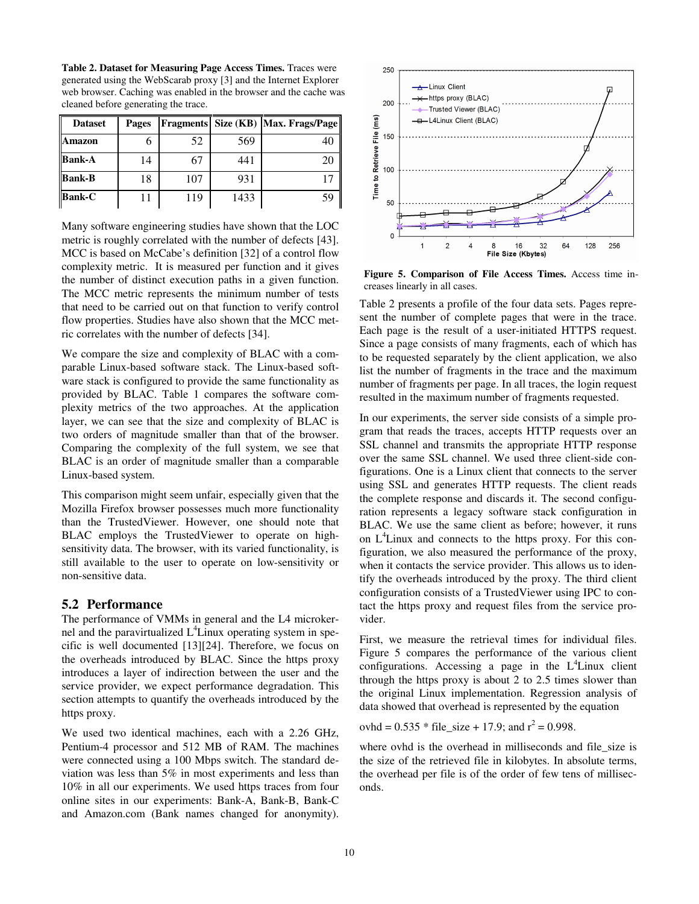**Table 2. Dataset for Measuring Page Access Times.** Traces were generated using the WebScarab proxy [3] and the Internet Explorer web browser. Caching was enabled in the browser and the cache was cleaned before generating the trace.

| <b>Dataset</b> | Pages |     |      | Fragments   Size (KB)   Max. Frags/Page |
|----------------|-------|-----|------|-----------------------------------------|
| Amazon         |       | 52  | 569  | 40                                      |
| <b>Bank-A</b>  | 14    | 67  | 441  | 20                                      |
| <b>Bank-B</b>  | 18    | 107 | 931  |                                         |
| <b>Bank-C</b>  |       | 119 | 1433 | 59                                      |

Many software engineering studies have shown that the LOC metric is roughly correlated with the number of defects [43]. MCC is based on McCabe's definition [32] of a control flow complexity metric. It is measured per function and it gives the number of distinct execution paths in a given function. The MCC metric represents the minimum number of tests that need to be carried out on that function to verify control flow properties. Studies have also shown that the MCC metric correlates with the number of defects [34].

We compare the size and complexity of BLAC with a comparable Linux-based software stack. The Linux-based software stack is configured to provide the same functionality as provided by BLAC. Table 1 compares the software complexity metrics of the two approaches. At the application layer, we can see that the size and complexity of BLAC is two orders of magnitude smaller than that of the browser. Comparing the complexity of the full system, we see that BLAC is an order of magnitude smaller than a comparable Linux-based system.

This comparison might seem unfair, especially given that the Mozilla Firefox browser possesses much more functionality than the TrustedViewer. However, one should note that BLAC employs the TrustedViewer to operate on highsensitivity data. The browser, with its varied functionality, is still available to the user to operate on low-sensitivity or non-sensitive data.

#### **5.2 Performance**

The performance of VMMs in general and the L4 microkernel and the paravirtualized  $L^4$ Linux operating system in specific is well documented [13][24]. Therefore, we focus on the overheads introduced by BLAC. Since the https proxy introduces a layer of indirection between the user and the service provider, we expect performance degradation. This section attempts to quantify the overheads introduced by the https proxy.

We used two identical machines, each with a 2.26 GHz, Pentium-4 processor and 512 MB of RAM. The machines were connected using a 100 Mbps switch. The standard deviation was less than 5% in most experiments and less than 10% in all our experiments. We used https traces from four online sites in our experiments: Bank-A, Bank-B, Bank-C and Amazon.com (Bank names changed for anonymity).



**Figure 5. Comparison of File Access Times.** Access time increases linearly in all cases.

Table 2 presents a profile of the four data sets. Pages represent the number of complete pages that were in the trace. Each page is the result of a user-initiated HTTPS request. Since a page consists of many fragments, each of which has to be requested separately by the client application, we also list the number of fragments in the trace and the maximum number of fragments per page. In all traces, the login request resulted in the maximum number of fragments requested.

In our experiments, the server side consists of a simple program that reads the traces, accepts HTTP requests over an SSL channel and transmits the appropriate HTTP response over the same SSL channel. We used three client-side configurations. One is a Linux client that connects to the server using SSL and generates HTTP requests. The client reads the complete response and discards it. The second configuration represents a legacy software stack configuration in BLAC. We use the same client as before; however, it runs on  $L^4$ Linux and connects to the https proxy. For this configuration, we also measured the performance of the proxy, when it contacts the service provider. This allows us to identify the overheads introduced by the proxy. The third client configuration consists of a TrustedViewer using IPC to contact the https proxy and request files from the service provider.

First, we measure the retrieval times for individual files. Figure 5 compares the performance of the various client configurations. Accessing a page in the  $L<sup>4</sup>$ Linux client through the https proxy is about 2 to 2.5 times slower than the original Linux implementation. Regression analysis of data showed that overhead is represented by the equation

ovhd =  $0.535 *$  file\_size + 17.9; and  $r^2 = 0.998$ .

where ovhd is the overhead in milliseconds and file\_size is the size of the retrieved file in kilobytes. In absolute terms, the overhead per file is of the order of few tens of milliseconds.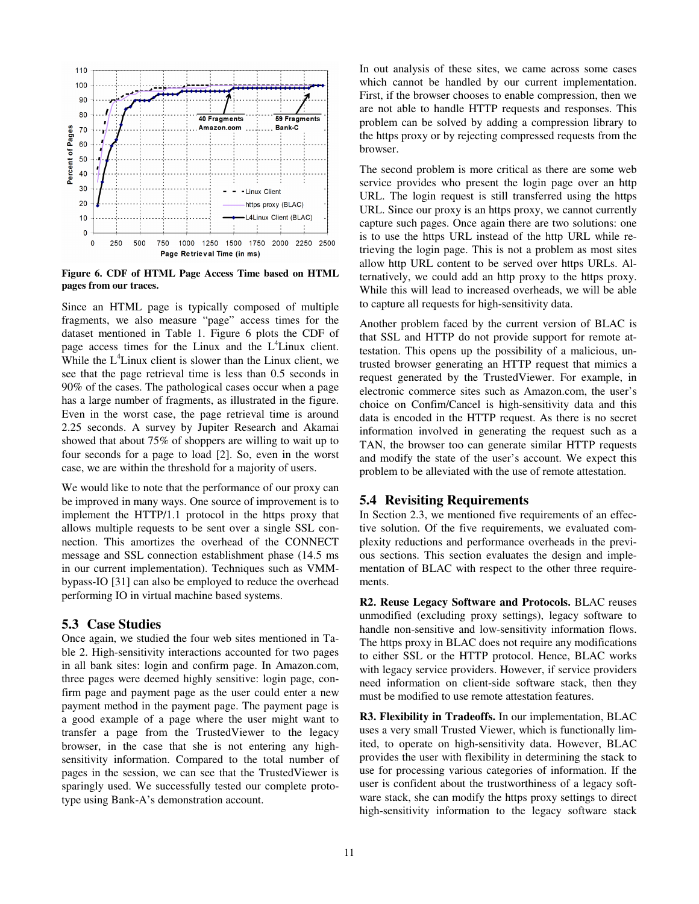

**Figure 6. CDF of HTML Page Access Time based on HTML pages from our traces.**

Since an HTML page is typically composed of multiple fragments, we also measure "page" access times for the dataset mentioned in Table 1. Figure 6 plots the CDF of page access times for the Linux and the  $L<sup>4</sup>$ Linux client. While the  $L<sup>4</sup>$ Linux client is slower than the Linux client, we see that the page retrieval time is less than 0.5 seconds in 90% of the cases. The pathological cases occur when a page has a large number of fragments, as illustrated in the figure. Even in the worst case, the page retrieval time is around 2.25 seconds. A survey by Jupiter Research and Akamai showed that about 75% of shoppers are willing to wait up to four seconds for a page to load [2]. So, even in the worst case, we are within the threshold for a majority of users.

We would like to note that the performance of our proxy can be improved in many ways. One source of improvement is to implement the HTTP/1.1 protocol in the https proxy that allows multiple requests to be sent over a single SSL connection. This amortizes the overhead of the CONNECT message and SSL connection establishment phase (14.5 ms in our current implementation). Techniques such as VMMbypass-IO [31] can also be employed to reduce the overhead performing IO in virtual machine based systems.

## **5.3 Case Studies**

Once again, we studied the four web sites mentioned in Table 2. High-sensitivity interactions accounted for two pages in all bank sites: login and confirm page. In Amazon.com, three pages were deemed highly sensitive: login page, confirm page and payment page as the user could enter a new payment method in the payment page. The payment page is a good example of a page where the user might want to transfer a page from the TrustedViewer to the legacy browser, in the case that she is not entering any highsensitivity information. Compared to the total number of pages in the session, we can see that the TrustedViewer is sparingly used. We successfully tested our complete prototype using Bank-A's demonstration account.

In out analysis of these sites, we came across some cases which cannot be handled by our current implementation. First, if the browser chooses to enable compression, then we are not able to handle HTTP requests and responses. This problem can be solved by adding a compression library to the https proxy or by rejecting compressed requests from the browser.

The second problem is more critical as there are some web service provides who present the login page over an http URL. The login request is still transferred using the https URL. Since our proxy is an https proxy, we cannot currently capture such pages. Once again there are two solutions: one is to use the https URL instead of the http URL while retrieving the login page. This is not a problem as most sites allow http URL content to be served over https URLs. Alternatively, we could add an http proxy to the https proxy. While this will lead to increased overheads, we will be able to capture all requests for high-sensitivity data.

Another problem faced by the current version of BLAC is that SSL and HTTP do not provide support for remote attestation. This opens up the possibility of a malicious, untrusted browser generating an HTTP request that mimics a request generated by the TrustedViewer. For example, in electronic commerce sites such as Amazon.com, the user's choice on Confim/Cancel is high-sensitivity data and this data is encoded in the HTTP request. As there is no secret information involved in generating the request such as a TAN, the browser too can generate similar HTTP requests and modify the state of the user's account. We expect this problem to be alleviated with the use of remote attestation.

#### **5.4 Revisiting Requirements**

In Section 2.3, we mentioned five requirements of an effective solution. Of the five requirements, we evaluated complexity reductions and performance overheads in the previous sections. This section evaluates the design and implementation of BLAC with respect to the other three requirements.

**R2. Reuse Legacy Software and Protocols.** BLAC reuses unmodified (excluding proxy settings), legacy software to handle non-sensitive and low-sensitivity information flows. The https proxy in BLAC does not require any modifications to either SSL or the HTTP protocol. Hence, BLAC works with legacy service providers. However, if service providers need information on client-side software stack, then they must be modified to use remote attestation features.

**R3. Flexibility in Tradeoffs.** In our implementation, BLAC uses a very small Trusted Viewer, which is functionally limited, to operate on high-sensitivity data. However, BLAC provides the user with flexibility in determining the stack to use for processing various categories of information. If the user is confident about the trustworthiness of a legacy software stack, she can modify the https proxy settings to direct high-sensitivity information to the legacy software stack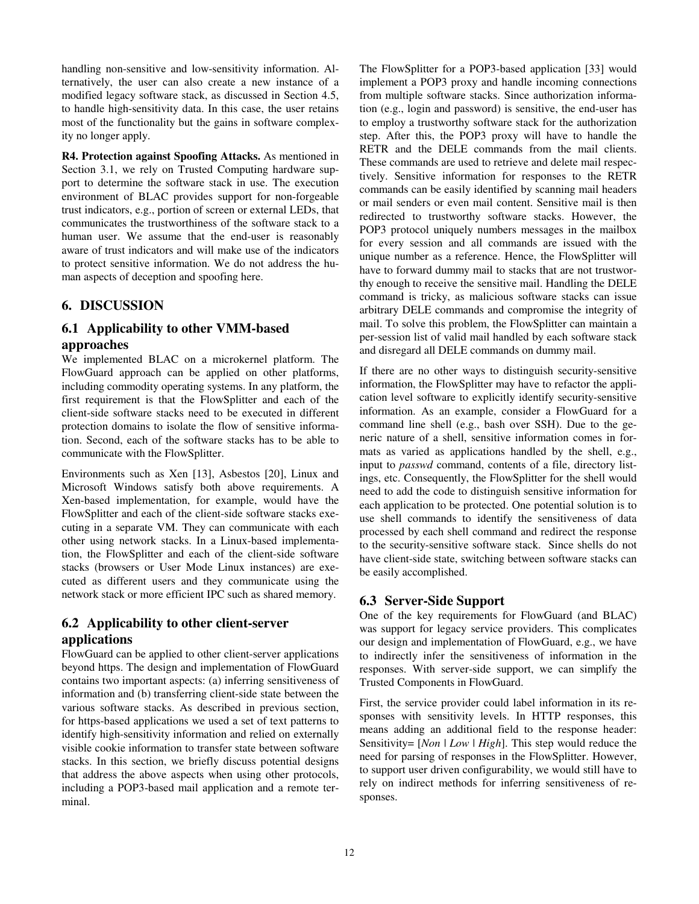handling non-sensitive and low-sensitivity information. Alternatively, the user can also create a new instance of a modified legacy software stack, as discussed in Section 4.5, to handle high-sensitivity data. In this case, the user retains most of the functionality but the gains in software complexity no longer apply.

**R4. Protection against Spoofing Attacks.** As mentioned in Section 3.1, we rely on Trusted Computing hardware support to determine the software stack in use. The execution environment of BLAC provides support for non-forgeable trust indicators, e.g., portion of screen or external LEDs, that communicates the trustworthiness of the software stack to a human user. We assume that the end-user is reasonably aware of trust indicators and will make use of the indicators to protect sensitive information. We do not address the human aspects of deception and spoofing here.

## **6. DISCUSSION**

## **6.1 Applicability to other VMM-based approaches**

We implemented BLAC on a microkernel platform. The FlowGuard approach can be applied on other platforms, including commodity operating systems. In any platform, the first requirement is that the FlowSplitter and each of the client-side software stacks need to be executed in different protection domains to isolate the flow of sensitive information. Second, each of the software stacks has to be able to communicate with the FlowSplitter.

Environments such as Xen [13], Asbestos [20], Linux and Microsoft Windows satisfy both above requirements. A Xen-based implementation, for example, would have the FlowSplitter and each of the client-side software stacks executing in a separate VM. They can communicate with each other using network stacks. In a Linux-based implementation, the FlowSplitter and each of the client-side software stacks (browsers or User Mode Linux instances) are executed as different users and they communicate using the network stack or more efficient IPC such as shared memory.

# **6.2 Applicability to other client-server applications**

FlowGuard can be applied to other client-server applications beyond https. The design and implementation of FlowGuard contains two important aspects: (a) inferring sensitiveness of information and (b) transferring client-side state between the various software stacks. As described in previous section, for https-based applications we used a set of text patterns to identify high-sensitivity information and relied on externally visible cookie information to transfer state between software stacks. In this section, we briefly discuss potential designs that address the above aspects when using other protocols, including a POP3-based mail application and a remote terminal.

The FlowSplitter for a POP3-based application [33] would implement a POP3 proxy and handle incoming connections from multiple software stacks. Since authorization information (e.g., login and password) is sensitive, the end-user has to employ a trustworthy software stack for the authorization step. After this, the POP3 proxy will have to handle the RETR and the DELE commands from the mail clients. These commands are used to retrieve and delete mail respectively. Sensitive information for responses to the RETR commands can be easily identified by scanning mail headers or mail senders or even mail content. Sensitive mail is then redirected to trustworthy software stacks. However, the POP3 protocol uniquely numbers messages in the mailbox for every session and all commands are issued with the unique number as a reference. Hence, the FlowSplitter will have to forward dummy mail to stacks that are not trustworthy enough to receive the sensitive mail. Handling the DELE command is tricky, as malicious software stacks can issue arbitrary DELE commands and compromise the integrity of mail. To solve this problem, the FlowSplitter can maintain a per-session list of valid mail handled by each software stack and disregard all DELE commands on dummy mail.

If there are no other ways to distinguish security-sensitive information, the FlowSplitter may have to refactor the application level software to explicitly identify security-sensitive information. As an example, consider a FlowGuard for a command line shell (e.g., bash over SSH). Due to the generic nature of a shell, sensitive information comes in formats as varied as applications handled by the shell, e.g., input to *passwd* command, contents of a file, directory listings, etc. Consequently, the FlowSplitter for the shell would need to add the code to distinguish sensitive information for each application to be protected. One potential solution is to use shell commands to identify the sensitiveness of data processed by each shell command and redirect the response to the security-sensitive software stack. Since shells do not have client-side state, switching between software stacks can be easily accomplished.

## **6.3 Server-Side Support**

One of the key requirements for FlowGuard (and BLAC) was support for legacy service providers. This complicates our design and implementation of FlowGuard, e.g., we have to indirectly infer the sensitiveness of information in the responses. With server-side support, we can simplify the Trusted Components in FlowGuard.

First, the service provider could label information in its responses with sensitivity levels. In HTTP responses, this means adding an additional field to the response header: Sensitivity= [*Non* | *Low* | *High*]. This step would reduce the need for parsing of responses in the FlowSplitter. However, to support user driven configurability, we would still have to rely on indirect methods for inferring sensitiveness of responses.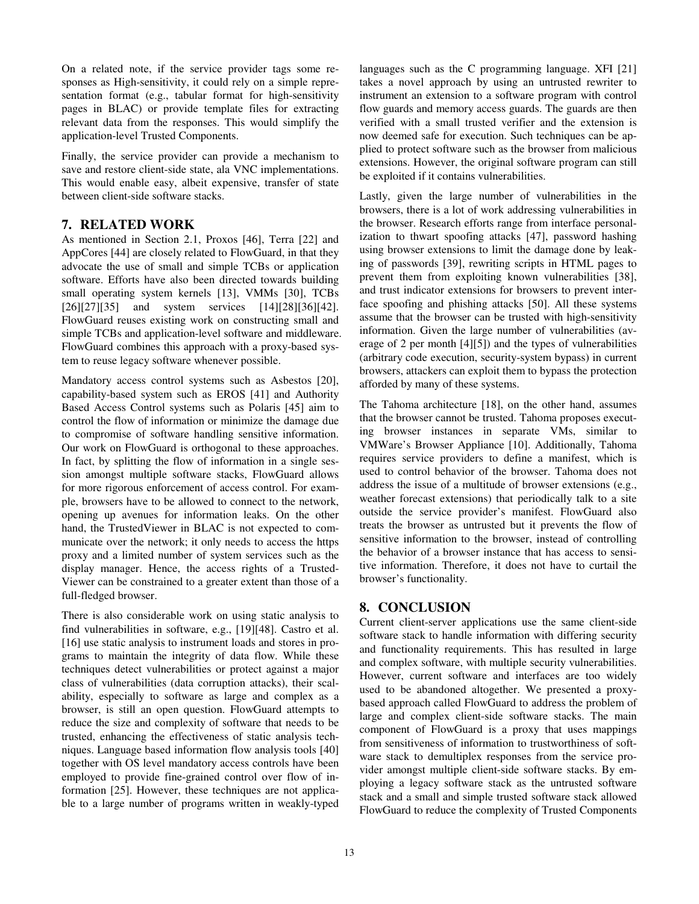On a related note, if the service provider tags some responses as High-sensitivity, it could rely on a simple representation format (e.g., tabular format for high-sensitivity pages in BLAC) or provide template files for extracting relevant data from the responses. This would simplify the application-level Trusted Components.

Finally, the service provider can provide a mechanism to save and restore client-side state, ala VNC implementations. This would enable easy, albeit expensive, transfer of state between client-side software stacks.

## **7. RELATED WORK**

As mentioned in Section 2.1, Proxos [46], Terra [22] and AppCores [44] are closely related to FlowGuard, in that they advocate the use of small and simple TCBs or application software. Efforts have also been directed towards building small operating system kernels [13], VMMs [30], TCBs [26][27][35] and system services [14][28][36][42]. FlowGuard reuses existing work on constructing small and simple TCBs and application-level software and middleware. FlowGuard combines this approach with a proxy-based system to reuse legacy software whenever possible.

Mandatory access control systems such as Asbestos [20], capability-based system such as EROS [41] and Authority Based Access Control systems such as Polaris [45] aim to control the flow of information or minimize the damage due to compromise of software handling sensitive information. Our work on FlowGuard is orthogonal to these approaches. In fact, by splitting the flow of information in a single session amongst multiple software stacks, FlowGuard allows for more rigorous enforcement of access control. For example, browsers have to be allowed to connect to the network, opening up avenues for information leaks. On the other hand, the TrustedViewer in BLAC is not expected to communicate over the network; it only needs to access the https proxy and a limited number of system services such as the display manager. Hence, the access rights of a Trusted-Viewer can be constrained to a greater extent than those of a full-fledged browser.

There is also considerable work on using static analysis to find vulnerabilities in software, e.g., [19][48]. Castro et al. [16] use static analysis to instrument loads and stores in programs to maintain the integrity of data flow. While these techniques detect vulnerabilities or protect against a major class of vulnerabilities (data corruption attacks), their scalability, especially to software as large and complex as a browser, is still an open question. FlowGuard attempts to reduce the size and complexity of software that needs to be trusted, enhancing the effectiveness of static analysis techniques. Language based information flow analysis tools [40] together with OS level mandatory access controls have been employed to provide fine-grained control over flow of information [25]. However, these techniques are not applicable to a large number of programs written in weakly-typed languages such as the C programming language. XFI [21] takes a novel approach by using an untrusted rewriter to instrument an extension to a software program with control flow guards and memory access guards. The guards are then verified with a small trusted verifier and the extension is now deemed safe for execution. Such techniques can be applied to protect software such as the browser from malicious extensions. However, the original software program can still be exploited if it contains vulnerabilities.

Lastly, given the large number of vulnerabilities in the browsers, there is a lot of work addressing vulnerabilities in the browser. Research efforts range from interface personalization to thwart spoofing attacks [47], password hashing using browser extensions to limit the damage done by leaking of passwords [39], rewriting scripts in HTML pages to prevent them from exploiting known vulnerabilities [38], and trust indicator extensions for browsers to prevent interface spoofing and phishing attacks [50]. All these systems assume that the browser can be trusted with high-sensitivity information. Given the large number of vulnerabilities (average of 2 per month [4][5]) and the types of vulnerabilities (arbitrary code execution, security-system bypass) in current browsers, attackers can exploit them to bypass the protection afforded by many of these systems.

The Tahoma architecture [18], on the other hand, assumes that the browser cannot be trusted. Tahoma proposes executing browser instances in separate VMs, similar to VMWare's Browser Appliance [10]. Additionally, Tahoma requires service providers to define a manifest, which is used to control behavior of the browser. Tahoma does not address the issue of a multitude of browser extensions (e.g., weather forecast extensions) that periodically talk to a site outside the service provider's manifest. FlowGuard also treats the browser as untrusted but it prevents the flow of sensitive information to the browser, instead of controlling the behavior of a browser instance that has access to sensitive information. Therefore, it does not have to curtail the browser's functionality.

## **8. CONCLUSION**

Current client-server applications use the same client-side software stack to handle information with differing security and functionality requirements. This has resulted in large and complex software, with multiple security vulnerabilities. However, current software and interfaces are too widely used to be abandoned altogether. We presented a proxybased approach called FlowGuard to address the problem of large and complex client-side software stacks. The main component of FlowGuard is a proxy that uses mappings from sensitiveness of information to trustworthiness of software stack to demultiplex responses from the service provider amongst multiple client-side software stacks. By employing a legacy software stack as the untrusted software stack and a small and simple trusted software stack allowed FlowGuard to reduce the complexity of Trusted Components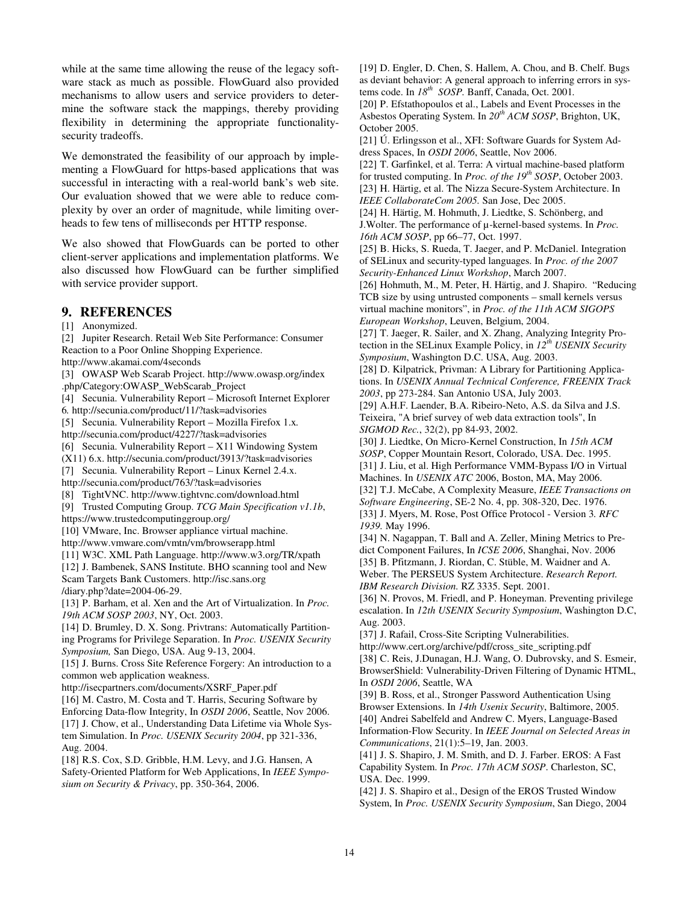while at the same time allowing the reuse of the legacy software stack as much as possible. FlowGuard also provided mechanisms to allow users and service providers to determine the software stack the mappings, thereby providing flexibility in determining the appropriate functionalitysecurity tradeoffs.

We demonstrated the feasibility of our approach by implementing a FlowGuard for https-based applications that was successful in interacting with a real-world bank's web site. Our evaluation showed that we were able to reduce complexity by over an order of magnitude, while limiting overheads to few tens of milliseconds per HTTP response.

We also showed that FlowGuards can be ported to other client-server applications and implementation platforms. We also discussed how FlowGuard can be further simplified with service provider support.

#### **9. REFERENCES**

#### [1] Anonymized.

[2] Jupiter Research. Retail Web Site Performance: Consumer Reaction to a Poor Online Shopping Experience.

http://www.akamai.com/4seconds

[3] OWASP Web Scarab Project. http://www.owasp.org/index .php/Category:OWASP\_WebScarab\_Project

[4] Secunia. Vulnerability Report – Microsoft Internet Explorer 6*.* http://secunia.com/product/11/?task=advisories

[5] Secunia. Vulnerability Report – Mozilla Firefox 1.x*.*

http://secunia.com/product/4227/?task=advisories

[6] Secunia. Vulnerability Report – X11 Windowing System

(X11) 6.x. http://secunia.com/product/3913/?task=advisories

[7] Secunia. Vulnerability Report – Linux Kernel 2.4.x.

http://secunia.com/product/763/?task=advisories

[8] TightVNC. http://www.tightvnc.com/download.html

[9] Trusted Computing Group. *TCG Main Specification v1.1b*,

https://www.trustedcomputinggroup.org/

[10] VMware, Inc. Browser appliance virtual machine.

http://www.vmware.com/vmtn/vm/browserapp.html

[11] W3C. XML Path Language. http://www.w3.org/TR/xpath

[12] J. Bambenek, SANS Institute. BHO scanning tool and New Scam Targets Bank Customers. http://isc.sans.org /diary.php?date=2004-06-29.

[13] P. Barham, et al. Xen and the Art of Virtualization. In *Proc. 19th ACM SOSP 2003*, NY, Oct. 2003.

[14] D. Brumley, D. X. Song. Privtrans: Automatically Partitioning Programs for Privilege Separation. In *Proc. USENIX Security Symposium,* San Diego, USA. Aug 9-13, 2004.

[15] J. Burns. Cross Site Reference Forgery: An introduction to a common web application weakness.

http://isecpartners.com/documents/XSRF\_Paper.pdf

[16] M. Castro, M. Costa and T. Harris, Securing Software by

Enforcing Data-flow Integrity, In *OSDI 2006*, Seattle, Nov 2006. [17] J. Chow, et al., Understanding Data Lifetime via Whole System Simulation. In *Proc. USENIX Security 2004*, pp 321-336, Aug. 2004.

[18] R.S. Cox, S.D. Gribble, H.M. Levy, and J.G. Hansen, A Safety-Oriented Platform for Web Applications, In *IEEE Symposium on Security & Privacy*, pp. 350-364, 2006.

[19] D. Engler, D. Chen, S. Hallem, A. Chou, and B. Chelf. Bugs as deviant behavior: A general approach to inferring errors in systems code. In *18th SOSP.* Banff, Canada, Oct. 2001*.*

[20] P. Efstathopoulos et al., Labels and Event Processes in the Asbestos Operating System. In *20th ACM SOSP*, Brighton, UK, October 2005.

[21] Ú. Erlingsson et al., XFI: Software Guards for System Address Spaces, In *OSDI 2006*, Seattle, Nov 2006.

[22] T. Garfinkel, et al. Terra: A virtual machine-based platform for trusted computing. In *Proc. of the 19th SOSP*, October 2003. [23] H. Härtig, et al. The Nizza Secure-System Architecture. In *IEEE CollaborateCom 2005.* San Jose, Dec 2005.

[24] H. Härtig, M. Hohmuth, J. Liedtke, S. Schönberg, and J.Wolter. The performance of µ-kernel-based systems. In *Proc. 16th ACM SOSP*, pp 66–77, Oct. 1997.

[25] B. Hicks, S. Rueda, T. Jaeger, and P. McDaniel. Integration of SELinux and security-typed languages. In *Proc. of the 2007 Security-Enhanced Linux Workshop*, March 2007.

[26] Hohmuth, M., M. Peter, H. Härtig, and J. Shapiro. "Reducing TCB size by using untrusted components – small kernels versus virtual machine monitors", in *Proc. of the 11th ACM SIGOPS European Workshop*, Leuven, Belgium, 2004.

[27] T. Jaeger, R. Sailer, and X. Zhang, Analyzing Integrity Protection in the SELinux Example Policy, in *12th USENIX Security Symposium*, Washington D.C. USA, Aug. 2003.

[28] D. Kilpatrick, Privman: A Library for Partitioning Applications. In *USENIX Annual Technical Conference, FREENIX Track 2003*, pp 273-284. San Antonio USA, July 2003.

[29] A.H.F. Laender, B.A. Ribeiro-Neto, A.S. da Silva and J.S. Teixeira, "A brief survey of web data extraction tools", In

*SIGMOD Rec.*, 32(2), pp 84-93, 2002. [30] J. Liedtke, On Micro-Kernel Construction, In *15th ACM SOSP*, Copper Mountain Resort, Colorado, USA. Dec. 1995. [31] J. Liu, et al. High Performance VMM-Bypass I/O in Virtual

Machines. In *USENIX ATC* 2006, Boston, MA, May 2006.

[32] T.J. McCabe, A Complexity Measure, *IEEE Transactions on Software Engineering*, SE-2 No. 4, pp. 308-320, Dec. 1976.

[33] J. Myers, M. Rose, Post Office Protocol - Version 3*. RFC 1939.* May 1996.

[34] N. Nagappan, T. Ball and A. Zeller, Mining Metrics to Predict Component Failures, In *ICSE 2006*, Shanghai, Nov. 2006 [35] B. Pfitzmann, J. Riordan, C. Stüble, M. Waidner and A. Weber. The PERSEUS System Architecture. *Research Report. IBM Research Division.* RZ 3335. Sept. 2001.

[36] N. Provos, M. Friedl, and P. Honeyman. Preventing privilege escalation. In *12th USENIX Security Symposium*, Washington D.C, Aug. 2003.

[37] J. Rafail, Cross-Site Scripting Vulnerabilities.

http://www.cert.org/archive/pdf/cross\_site\_scripting.pdf [38] C. Reis, J.Dunagan, H.J. Wang, O. Dubrovsky, and S. Esmeir, BrowserShield: Vulnerability-Driven Filtering of Dynamic HTML, In *OSDI 2006*, Seattle, WA

[39] B. Ross, et al., Stronger Password Authentication Using Browser Extensions. In *14th Usenix Security*, Baltimore, 2005. [40] Andrei Sabelfeld and Andrew C. Myers, Language-Based Information-Flow Security. In *IEEE Journal on Selected Areas in* 

*Communications*, 21(1):5–19, Jan. 2003. [41] J. S. Shapiro, J. M. Smith, and D. J. Farber. EROS: A Fast Capability System. In *Proc. 17th ACM SOSP*. Charleston, SC, USA. Dec. 1999.

[42] J. S. Shapiro et al., Design of the EROS Trusted Window System, In *Proc. USENIX Security Symposium*, San Diego, 2004